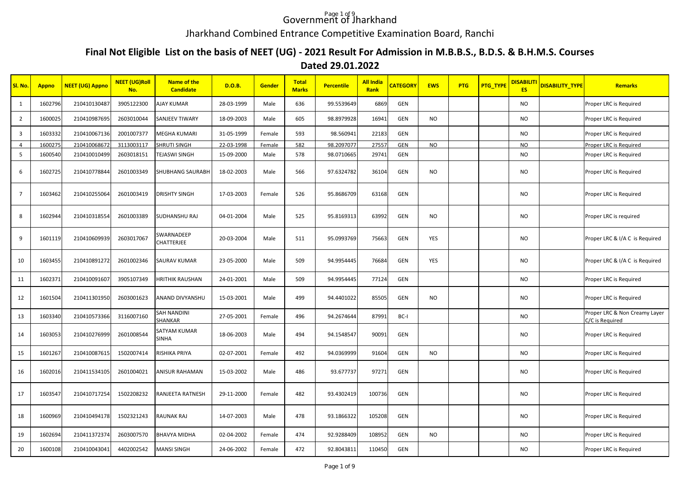## Government of Jharkhand

## Jharkhand Combined Entrance Competitive Examination Board, Ranchi

## **Final Not Eligible List on the basis of NEET (UG) - 2021 Result For Admission in M.B.B.S., B.D.S. & B.H.M.S. Courses Dated 29.01.2022**

| SI. No.                 | <b>Appno</b> | <b>NEET (UG) Appno</b> | <b>NEET (UG)Roll</b><br>No. | <b>Name of the</b><br><b>Candidate</b> | <b>D.O.B.</b> | <b>Gender</b> | <b>Total</b><br><b>Marks</b> | <b>Percentile</b> | <b>All India</b><br>Rank | <b>CATEGORY</b> | <b>EWS</b> | <b>PTG</b> | PTG_TYPE | <b>DISABILITI</b><br><b>ES</b> | <b>DISABILITY TYPE</b> | <b>Remarks</b>                                   |
|-------------------------|--------------|------------------------|-----------------------------|----------------------------------------|---------------|---------------|------------------------------|-------------------|--------------------------|-----------------|------------|------------|----------|--------------------------------|------------------------|--------------------------------------------------|
| 1                       | 1602796      | 210410130487           | 3905122300                  | AJAY KUMAR                             | 28-03-1999    | Male          | 636                          | 99.5539649        | 6869                     | <b>GEN</b>      |            |            |          | <b>NO</b>                      |                        | Proper LRC is Required                           |
| $\overline{2}$          | 1600025      | 210410987695           | 2603010044                  | SANJEEV TIWARY                         | 18-09-2003    | Male          | 605                          | 98.8979928        | 16941                    | GEN             | NO         |            |          | <b>NO</b>                      |                        | Proper LRC is Required                           |
| $\overline{\mathbf{3}}$ | 1603332      | 210410067136           | 2001007377                  | MEGHA KUMARI                           | 31-05-1999    | Female        | 593                          | 98.560941         | 22183                    | GEN             |            |            |          | NO                             |                        | Proper LRC is Required                           |
| $\overline{4}$          | 1600275      | 210410068672           | 3113003117                  | SHRUTI SINGH                           | 22-03-1998    | Female        | 582                          | 98.2097077        | 27557                    | GEN             | NO         |            |          | NO.                            |                        | Proper LRC is Required                           |
| 5                       | 1600540      | 210410010499           | 2603018151                  | TEJASWI SINGH                          | 15-09-2000    | Male          | 578                          | 98.0710665        | 29741                    | <b>GEN</b>      |            |            |          | <b>NO</b>                      |                        | Proper LRC is Required                           |
| 6                       | 1602725      | 210410778844           | 2601003349                  | SHUBHANG SAURABH                       | 18-02-2003    | Male          | 566                          | 97.6324782        | 36104                    | GEN             | NO         |            |          | NO                             |                        | Proper LRC is Required                           |
| $\overline{7}$          | 1603462      | 210410255064           | 2601003419                  | <b>DRISHTY SINGH</b>                   | 17-03-2003    | Female        | 526                          | 95.8686709        | 63168                    | GEN             |            |            |          | <b>NO</b>                      |                        | Proper LRC is Required                           |
| 8                       | 1602944      | 210410318554           | 2601003389                  | <b>SUDHANSHU RAJ</b>                   | 04-01-2004    | Male          | 525                          | 95.8169313        | 63992                    | GEN             | NO         |            |          | <b>NO</b>                      |                        | Proper LRC is required                           |
| 9                       | 1601119      | 210410609939           | 2603017067                  | SWARNADEEP<br>CHATTERJEE               | 20-03-2004    | Male          | 511                          | 95.0993769        | 75663                    | GEN             | YES        |            |          | NO.                            |                        | Proper LRC & I/A C is Required                   |
| 10                      | 1603455      | 210410891272           | 2601002346                  | SAURAV KUMAR                           | 23-05-2000    | Male          | 509                          | 94.9954445        | 76684                    | GEN             | YES        |            |          | NO                             |                        | Proper LRC & I/A C is Required                   |
| 11                      | 1602371      | 210410091607           | 3905107349                  | <b>HRITHIK RAUSHAN</b>                 | 24-01-2001    | Male          | 509                          | 94.9954445        | 77124                    | GEN             |            |            |          | <b>NO</b>                      |                        | Proper LRC is Required                           |
| 12                      | 1601504      | 210411301950           | 2603001623                  | ANAND DIVYANSHU                        | 15-03-2001    | Male          | 499                          | 94.4401022        | 85505                    | <b>GEN</b>      | NO         |            |          | NO                             |                        | Proper LRC is Required                           |
| 13                      | 1603340      | 210410573366           | 3116007160                  | <b>SAH NANDINI</b><br>SHANKAR          | 27-05-2001    | Female        | 496                          | 94.2674644        | 87991                    | BC-I            |            |            |          | <b>NO</b>                      |                        | Proper LRC & Non Creamy Layer<br>C/C is Required |
| 14                      | 1603053      | 210410276999           | 2601008544                  | SATYAM KUMAR<br><b>SINHA</b>           | 18-06-2003    | Male          | 494                          | 94.1548547        | 90091                    | GEN             |            |            |          | <b>NO</b>                      |                        | Proper LRC is Required                           |
| 15                      | 1601267      | 210410087615           | 1502007414                  | RISHIKA PRIYA                          | 02-07-2001    | Female        | 492                          | 94.0369999        | 91604                    | GEN             | NO         |            |          | NO                             |                        | Proper LRC is Required                           |
| 16                      | 1602016      | 210411534105           | 2601004021                  | <b>ANISUR RAHAMAN</b>                  | 15-03-2002    | Male          | 486                          | 93.677737         | 97271                    | GEN             |            |            |          | <b>NO</b>                      |                        | Proper LRC is Required                           |
| 17                      | 1603547      | 210410717254           | 1502208232                  | RANJEETA RATNESH                       | 29-11-2000    | Female        | 482                          | 93.4302419        | 100736                   | <b>GEN</b>      |            |            |          | NO.                            |                        | Proper LRC is Required                           |
| 18                      | 1600969      | 210410494178           | 1502321243                  | <b>RAUNAK RAJ</b>                      | 14-07-2003    | Male          | 478                          | 93.1866322        | 105208                   | GEN             |            |            |          | <b>NO</b>                      |                        | Proper LRC is Required                           |
| 19                      | 1602694      | 210411372374           | 2603007570                  | BHAVYA MIDHA                           | 02-04-2002    | Female        | 474                          | 92.9288409        | 108952                   | GEN             | NO.        |            |          | NO.                            |                        | Proper LRC is Required                           |
| 20                      | 1600108      | 210410043041           | 4402002542                  | <b>MANSI SINGH</b>                     | 24-06-2002    | Female        | 472                          | 92.8043811        | 110450                   | GEN             |            |            |          | <b>NO</b>                      |                        | Proper LRC is Required                           |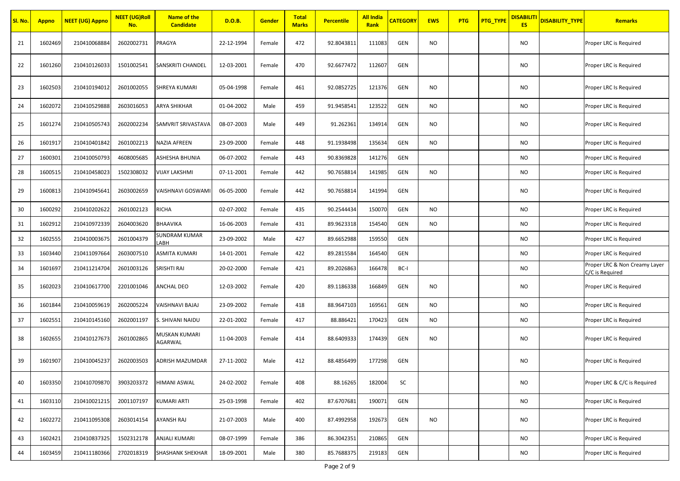| Sl. No. | <b>Appno</b> | <b>NEET (UG) Appno</b> | <b>NEET (UG)Roll</b><br>No. | <b>Name of the</b><br><b>Candidate</b> | D.O.B.     | Gender | <b>Total</b><br><b>Marks</b> | <b>Percentile</b> | <b>All India</b><br>Rank | <b>CATEGORY</b> | <b>EWS</b> | <b>PTG</b> | PTG_TYPE | <b>DISABILIT</b><br><b>ES</b> | <b>DISABILITY_TYPE</b> | Remarks                                          |
|---------|--------------|------------------------|-----------------------------|----------------------------------------|------------|--------|------------------------------|-------------------|--------------------------|-----------------|------------|------------|----------|-------------------------------|------------------------|--------------------------------------------------|
| 21      | 1602469      | 210410068884           | 2602002731                  | PRAGYA                                 | 22-12-1994 | Female | 472                          | 92.8043811        | 111083                   | <b>GEN</b>      | NO         |            |          | NO                            |                        | Proper LRC is Required                           |
| 22      | 1601260      | 210410126033           | 1501002541                  | SANSKRITI CHANDEL                      | 12-03-2001 | Female | 470                          | 92.6677472        | 112607                   | GEN             |            |            |          | NO.                           |                        | Proper LRC is Required                           |
| 23      | 1602503      | 210410194012           | 2601002055                  | SHREYA KUMARI                          | 05-04-1998 | Female | 461                          | 92.0852725        | 121376                   | GEN             | <b>NO</b>  |            |          | <b>NO</b>                     |                        | Proper LRC Is Required                           |
| 24      | 1602072      | 210410529888           | 2603016053                  | ARYA SHIKHAR                           | 01-04-2002 | Male   | 459                          | 91.9458541        | 123522                   | <b>GEN</b>      | NO.        |            |          | <b>NO</b>                     |                        | Proper LRC is Required                           |
| 25      | 1601274      | 210410505743           | 2602002234                  | SAMVRIT SRIVASTAVA                     | 08-07-2003 | Male   | 449                          | 91.262361         | 134914                   | <b>GEN</b>      | NO         |            |          | NO.                           |                        | Proper LRC is Required                           |
| 26      | 1601917      | 210410401842           | 2601002213                  | NAZIA AFREEN                           | 23-09-2000 | Female | 448                          | 91.1938498        | 135634                   | <b>GEN</b>      | NO         |            |          | NO.                           |                        | Proper LRC is Required                           |
| 27      | 1600301      | 210410050793           | 4608005685                  | ASHESHA BHUNIA                         | 06-07-2002 | Female | 443                          | 90.8369828        | 141276                   | <b>GEN</b>      |            |            |          | NO.                           |                        | Proper LRC is Required                           |
| 28      | 1600515      | 210410458023           | 1502308032                  | VIJAY LAKSHMI                          | 07-11-2001 | Female | 442                          | 90.7658814        | 141985                   | <b>GEN</b>      | NO.        |            |          | <b>NO</b>                     |                        | Proper LRC is Required                           |
| 29      | 1600813      | 210410945641           | 2603002659                  | VAISHNAVI GOSWAMI                      | 06-05-2000 | Female | 442                          | 90.7658814        | 141994                   | GEN             |            |            |          | NO                            |                        | Proper LRC is Required                           |
| 30      | 1600292      | 210410202622           | 2601002123                  | RICHA                                  | 02-07-2002 | Female | 435                          | 90.2544434        | 150070                   | GEN             | NO         |            |          | <b>NO</b>                     |                        | Proper LRC is Required                           |
| 31      | 1602912      | 210410972339           | 2604003620                  | BHAAVIKA                               | 16-06-2003 | Female | 431                          | 89.9623318        | 154540                   | GEN             | NO         |            |          | <b>NO</b>                     |                        | Proper LRC is Required                           |
| 32      | 1602555      | 210410003675           | 2601004379                  | SUNDRAM KUMAR<br>ABH                   | 23-09-2002 | Male   | 427                          | 89.6652988        | 159550                   | GEN             |            |            |          | <b>NO</b>                     |                        | Proper LRC is Required                           |
| 33      | 1603440      | 210411097664           | 2603007510                  | ASMITA KUMARI                          | 14-01-2001 | Female | 422                          | 89.2815584        | 164540                   | GEN             |            |            |          | <b>NO</b>                     |                        | Proper LRC is Required                           |
| 34      | 1601697      | 210411214704           | 2601003126                  | SRISHTI RAI                            | 20-02-2000 | Female | 421                          | 89.2026863        | 166478                   | BC-I            |            |            |          | NO                            |                        | Proper LRC & Non Creamy Layer<br>C/C is Required |
| 35      | 1602023      | 210410617700           | 2201001046                  | ANCHAL DEO                             | 12-03-2002 | Female | 420                          | 89.1186338        | 166849                   | GEN             | NO         |            |          | NO.                           |                        | Proper LRC is Required                           |
| 36      | 1601844      | 210410059619           | 2602005224                  | VAISHNAVI BAJAJ                        | 23-09-2002 | Female | 418                          | 88.9647103        | 169561                   | <b>GEN</b>      | NO         |            |          | NO.                           |                        | Proper LRC is Required                           |
| 37      | 1602551      | 210410145160           | 2602001197                  | S. SHIVANI NAIDU                       | 22-01-2002 | Female | 417                          | 88.886421         | 170423                   | <b>GEN</b>      | NO         |            |          | <b>NO</b>                     |                        | Proper LRC is Required                           |
| 38      | 1602655      | 210410127673           | 2601002865                  | MUSKAN KUMARI<br>AGARWAL               | 11-04-2003 | Female | 414                          | 88.6409333        | 174439                   | <b>GEN</b>      | NO         |            |          | NO                            |                        | Proper LRC is Required                           |
| 39      | 1601907      | 210410045237           | 2602003503                  | ADRISH MAZUMDAR                        | 27-11-2002 | Male   | 412                          | 88.4856499        | 177298                   | GEN             |            |            |          | NO.                           |                        | Proper LRC is Required                           |
| 40      | 1603350      | 210410709870           | 3903203372                  | HIMANI ASWAL                           | 24-02-2002 | Female | 408                          | 88.16265          | 182004                   | SC              |            |            |          | <b>NO</b>                     |                        | Proper LRC & C/C is Required                     |
| 41      | 1603110      | 210410021215           | 2001107197                  | KUMARI ARTI                            | 25-03-1998 | Female | 402                          | 87.6707681        | 190071                   | <b>GEN</b>      |            |            |          | <b>NO</b>                     |                        | Proper LRC is Required                           |
| 42      | 1602272      | 210411095308           | 2603014154                  | AYANSH RAJ                             | 21-07-2003 | Male   | 400                          | 87.4992958        | 192673                   | <b>GEN</b>      | <b>NO</b>  |            |          | NO                            |                        | Proper LRC is Required                           |
| 43      | 1602421      | 210410837325           | 1502312178                  | ANJALI KUMARI                          | 08-07-1999 | Female | 386                          | 86.3042351        | 210865                   | <b>GEN</b>      |            |            |          | <b>NO</b>                     |                        | Proper LRC is Required                           |
| 44      | 1603459      | 210411180366           | 2702018319                  | SHASHANK SHEKHAR                       | 18-09-2001 | Male   | 380                          | 85.7688375        | 219183                   | GEN             |            |            |          | <b>NO</b>                     |                        | Proper LRC is Required                           |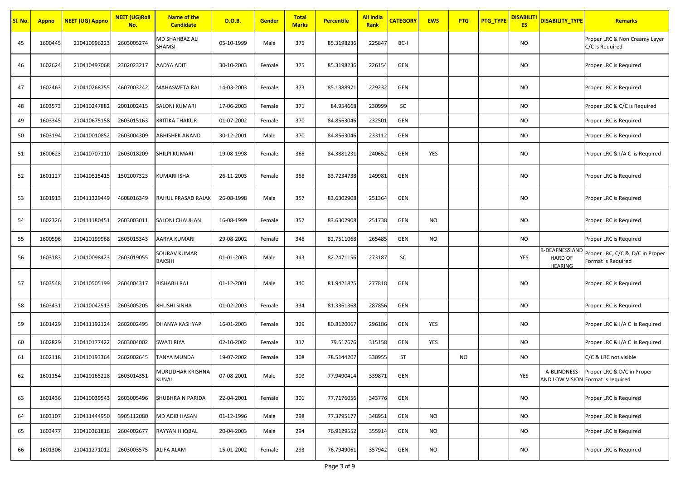| Sl. No. | <b>Appno</b> | <b>NEET (UG) Appno</b> | <b>NEET (UG)Roll</b><br>No. | <b>Name of the</b><br><b>Candidate</b> | D.O.B.     | Gender | <b>Total</b><br><b>Marks</b> | <b>Percentile</b> | <b>All India</b><br>Rank | <b>CATEGORY</b> | <b>EWS</b> | <b>PTG</b> | PTG_TYPE | <b>DISABILITI</b><br><b>ES</b> | <b>DISABILITY TYPE</b>                                    | <b>Remarks</b>                                                              |
|---------|--------------|------------------------|-----------------------------|----------------------------------------|------------|--------|------------------------------|-------------------|--------------------------|-----------------|------------|------------|----------|--------------------------------|-----------------------------------------------------------|-----------------------------------------------------------------------------|
| 45      | 1600445      | 210410996223           | 2603005274                  | MD SHAHBAZ ALI<br>SHAMSI               | 05-10-1999 | Male   | 375                          | 85.3198236        | 225847                   | BC-I            |            |            |          | <b>NO</b>                      |                                                           | Proper LRC & Non Creamy Layer<br>C/C is Required                            |
| 46      | 1602624      | 210410497068           | 2302023217                  | AADYA ADITI                            | 30-10-2003 | Female | 375                          | 85.3198236        | 226154                   | <b>GEN</b>      |            |            |          | <b>NO</b>                      |                                                           | Proper LRC is Required                                                      |
| 47      | 1602463      | 210410268755           | 4607003242                  | MAHASWETA RAJ                          | 14-03-2003 | Female | 373                          | 85.1388971        | 229232                   | <b>GEN</b>      |            |            |          | NO.                            |                                                           | Proper LRC is Required                                                      |
| 48      | 1603573      | 210410247882           | 2001002415                  | SALONI KUMARI                          | 17-06-2003 | Female | 371                          | 84.954668         | 230999                   | SC              |            |            |          | <b>NO</b>                      |                                                           | Proper LRC & C/C is Required                                                |
| 49      | 1603345      | 210410675158           | 2603015163                  | KRITIKA THAKUR                         | 01-07-2002 | Female | 370                          | 84.8563046        | 232501                   | <b>GEN</b>      |            |            |          | <b>NO</b>                      |                                                           | Proper LRC is Required                                                      |
| 50      | 1603194      | 210410010852           | 2603004309                  | ABHISHEK ANAND                         | 30-12-2001 | Male   | 370                          | 84.8563046        | 233112                   | <b>GEN</b>      |            |            |          | <b>NO</b>                      |                                                           | Proper LRC is Required                                                      |
| 51      | 1600623      | 210410707110           | 2603018209                  | SHILPI KUMARI                          | 19-08-1998 | Female | 365                          | 84.3881231        | 240652                   | <b>GEN</b>      | YES        |            |          | <b>NO</b>                      |                                                           | Proper LRC & I/A C is Required                                              |
| 52      | 1601127      | 210410515415           | 1502007323                  | KUMARI ISHA                            | 26-11-2003 | Female | 358                          | 83.7234738        | 249981                   | GEN             |            |            |          | <b>NO</b>                      |                                                           | Proper LRC is Required                                                      |
| 53      | 1601913      | 210411329449           | 4608016349                  | RAHUL PRASAD RAJAK                     | 26-08-1998 | Male   | 357                          | 83.6302908        | 251364                   | <b>GEN</b>      |            |            |          | <b>NO</b>                      |                                                           | Proper LRC is Required                                                      |
| 54      | 1602326      | 210411180451           | 2603003011                  | SALONI CHAUHAN                         | 16-08-1999 | Female | 357                          | 83.6302908        | 251738                   | <b>GEN</b>      | NO         |            |          | <b>NO</b>                      |                                                           | Proper LRC is Required                                                      |
| 55      | 1600596      | 210410199968           | 2603015343                  | AARYA KUMARI                           | 29-08-2002 | Female | 348                          | 82.7511068        | 265485                   | <b>GEN</b>      | <b>NO</b>  |            |          | <b>NO</b>                      |                                                           | Proper LRC is Required                                                      |
| 56      | 1603183      | 210410098423           | 2603019055                  | SOURAV KUMAR<br>BAKSHI                 | 01-01-2003 | Male   | 343                          | 82.2471156        | 273187                   | SC              |            |            |          | YES                            | <b>B-DEAFNESS AND</b><br><b>HARD OF</b><br><b>HEARING</b> | Proper LRC, C/C & D/C in Proper<br>Format is Required                       |
| 57      | 1603548      | 210410505199           | 2604004317                  | RISHABH RAJ                            | 01-12-2001 | Male   | 340                          | 81.9421825        | 277818                   | <b>GEN</b>      |            |            |          | <b>NO</b>                      |                                                           | Proper LRC is Required                                                      |
| 58      | 1603431      | 210410042513           | 2603005205                  | KHUSHI SINHA                           | 01-02-2003 | Female | 334                          | 81.3361368        | 287856                   | <b>GEN</b>      |            |            |          | <b>NO</b>                      |                                                           | Proper LRC is Required                                                      |
| 59      | 1601429      | 210411192124           | 2602002495                  | DHANYA KASHYAP                         | 16-01-2003 | Female | 329                          | 80.8120067        | 296186                   | <b>GEN</b>      | YES        |            |          | <b>NO</b>                      |                                                           | Proper LRC & I/A C is Required                                              |
| 60      | 1602829      | 210410177422           | 2603004002                  | SWATI RIYA                             | 02-10-2002 | Female | 317                          | 79.517676         | 315158                   | <b>GEN</b>      | YES        |            |          | NO                             |                                                           | Proper LRC & I/A C is Required                                              |
| 61      | 1602118      | 210410193364           | 2602002645                  | TANYA MUNDA                            | 19-07-2002 | Female | 308                          | 78.5144207        | 330955                   | ST              |            | <b>NO</b>  |          | <b>NO</b>                      |                                                           | C/C & LRC not visible                                                       |
| 62      | 1601154      | 210410165228           | 2603014351                  | MURLIDHAR KRISHNA<br>KUNAL             | 07-08-2001 | Male   | 303                          | 77.9490414        | 339871                   | GEN             |            |            |          | YES                            |                                                           | A-BLINDNESS Proper LRC & D/C in Proper<br>AND LOW VISION Format is required |
| 63      | 1601436      | 210410039543           | 2603005496                  | SHUBHRA N PARIDA                       | 22-04-2001 | Female | 301                          | 77.7176056        | 343776                   | GEN             |            |            |          | <b>NO</b>                      |                                                           | Proper LRC is Required                                                      |
| 64      | 1603107      | 210411444950           | 3905112080                  | MD ADIB HASAN                          | 01-12-1996 | Male   | 298                          | 77.3795177        | 348951                   | <b>GEN</b>      | <b>NO</b>  |            |          | <b>NO</b>                      |                                                           | Proper LRC is Required                                                      |
| 65      | 1603477      | 210410361816           | 2604002677                  | RAYYAN H IQBAL                         | 20-04-2003 | Male   | 294                          | 76.9129552        | 355914                   | GEN             | <b>NO</b>  |            |          | <b>NO</b>                      |                                                           | Proper LRC is Required                                                      |
| 66      | 1601306      | 210411271012           | 2603003575                  | ALIFA ALAM                             | 15-01-2002 | Female | 293                          | 76.7949061        | 357942                   | GEN             | NO         |            |          | NO                             |                                                           | Proper LRC is Required                                                      |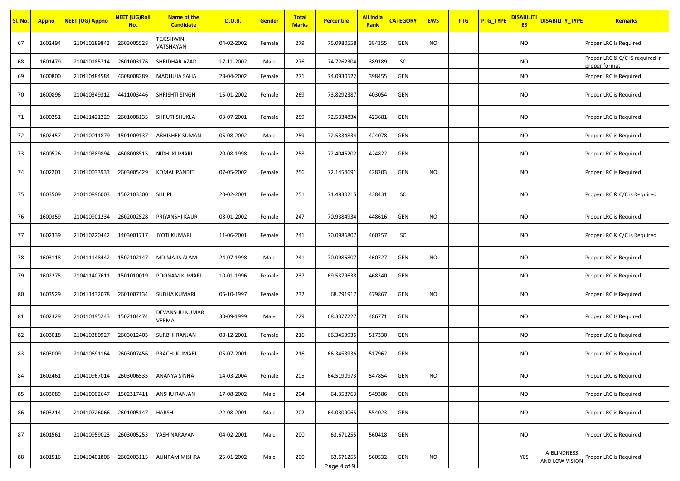| SI. No. | <b>Appno</b> | <b>NEET (UG) Appno</b> | <b>NEET (UG)Roll</b><br>No. | <b>Name of the</b><br><b>Candidate</b> | D.O.B.     | <b>Gender</b> | <b>Total</b><br><b>Marks</b> | <b>Percentile</b>        | <b>All India</b><br>Rank | <b>CATEGORY</b> | <b>EWS</b> | <b>PTG</b> | <b>PTG_TYPE</b> | <mark>DISABILITI</mark><br><b>ES</b> | <b>DISABILITY TYPE</b> | <b>Remarks</b>                                   |
|---------|--------------|------------------------|-----------------------------|----------------------------------------|------------|---------------|------------------------------|--------------------------|--------------------------|-----------------|------------|------------|-----------------|--------------------------------------|------------------------|--------------------------------------------------|
| 67      | 1602494      | 210410189843           | 2603005528                  | TEJESHWINI<br>VATSHAYAN                | 04-02-2002 | Female        | 279                          | 75.0980558               | 384355                   | <b>GEN</b>      | <b>NO</b>  |            |                 | NO                                   |                        | Proper LRC Is Required                           |
| 68      | 1601479      | 210410185714           | 2601003176                  | SHRIDHAR AZAD                          | 17-11-2002 | Male          | 276                          | 74.7262304               | 389189                   | SC              |            |            |                 | NO                                   |                        | Proper LRC & C/C IS required in<br>proper format |
| 69      | 1600800      | 210410484584           | 4608008289                  | MADHUJA SAHA                           | 28-04-2002 | Female        | 271                          | 74.0930522               | 398455                   | GEN             |            |            |                 | NO                                   |                        | Proper LRC is Required                           |
| 70      | 1600896      | 210410349312           | 4411003446                  | SHRISHTI SINGH                         | 15-01-2002 | Female        | 269                          | 73.8292387               | 403054                   | <b>GEN</b>      |            |            |                 | NO                                   |                        | Proper LRC is Required                           |
| 71      | 1600251      | 210411421229           | 2601008135                  | <b>SHRUTI SHUKLA</b>                   | 03-07-2001 | Female        | 259                          | 72.5334834               | 423681                   | GEN             |            |            |                 | NO                                   |                        | Proper LRC is Required                           |
| 72      | 1602457      | 210410011879           | 1501009137                  | ABHISHEK SUMAN                         | 05-08-2002 | Male          | 259                          | 72.5334834               | 424078                   | <b>GEN</b>      |            |            |                 | NO                                   |                        | Proper LRC is Required                           |
| 73      | 1600526      | 210410389894           | 4608008515                  | NIDHI KUMARI                           | 20-08-1998 | Female        | 258                          | 72.4046202               | 424822                   | <b>GEN</b>      |            |            |                 | NO                                   |                        | Proper LRC is Required                           |
| 74      | 1602201      | 210410033933           | 2603005429                  | <b>KOMAL PANDIT</b>                    | 07-05-2002 | Female        | 256                          | 72.1454691               | 428203                   | GEN             | <b>NO</b>  |            |                 | NO                                   |                        | Proper LRC is Required                           |
| 75      | 1603509      | 210410896003           | 1502103300                  | <b>SHILPI</b>                          | 20-02-2001 | Female        | 251                          | 71.4830215               | 438431                   | SC              |            |            |                 | NO                                   |                        | Proper LRC & C/C is Required                     |
| 76      | 1600359      | 210410901234           | 2602002528                  | PRIYANSHI KAUR                         | 08-01-2002 | Female        | 247                          | 70.9384934               | 448616                   | <b>GEN</b>      | <b>NO</b>  |            |                 | <b>NO</b>                            |                        | Proper LRC is Required                           |
| 77      | 1602339      | 210410220442           | 1403001717                  | JYOTI KUMARI                           | 11-06-2001 | Female        | 241                          | 70.0986807               | 460257                   | SC              |            |            |                 | <b>NO</b>                            |                        | Proper LRC & C/C is Required                     |
| 78      | 1603118      | 210411148442           | 1502102147                  | MD MAJIS ALAM                          | 24-07-1998 | Male          | 241                          | 70.0986807               | 460727                   | <b>GEN</b>      | <b>NO</b>  |            |                 | NO                                   |                        | Proper LRC is Required                           |
| 79      | 1602275      | 210411407611           | 1501010019                  | POONAM KUMARI                          | 10-01-1996 | Female        | 237                          | 69.5379638               | 468340                   | <b>GEN</b>      |            |            |                 | NO                                   |                        | Proper LRC is Required                           |
| 80      | 1603529      | 210411432078           | 2601007134                  | <b>SUDHA KUMARI</b>                    | 06-10-1997 | Female        | 232                          | 68.791917                | 479867                   | <b>GEN</b>      | NO         |            |                 | <b>NO</b>                            |                        | Proper LRC is Required                           |
| 81      | 1602329      | 210410495243           | 1502104474                  | DEVANSHU KUMAR<br>VERMA                | 30-09-1999 | Male          | 229                          | 68.3377227               | 486771                   | <b>GEN</b>      |            |            |                 | NO                                   |                        | Proper LRC Is Required                           |
| 82      | 1603018      | 210410380927           | 2603012403                  | <b>SURBHI RANJAN</b>                   | 08-12-2001 | Female        | 216                          | 66.3453936               | 517330                   | <b>GEN</b>      |            |            |                 | NO                                   |                        | Proper LRC is Required                           |
| 83      | 1603009      | 210410691164           | 2603007456                  | PRACHI KUMARI                          | 05-07-2001 | Female        | 216                          | 66.3453936               | 517962                   | GEN             |            |            |                 | NO                                   |                        | Proper LRC is Required                           |
| 84      | 1602461      | 210410967014           | 2603006535                  | <b>ANANYA SINHA</b>                    | 14-03-2004 | Female        | 205                          | 64.5190973               | 547854                   | <b>GEN</b>      | <b>NO</b>  |            |                 | <b>NO</b>                            |                        | Proper LRC is Required                           |
| 85      | 1603089      | 210410002647           | 1502317411                  | ANSHU RANJAN                           | 17-08-2002 | Male          | 204                          | 64.358763                | 549386                   | GEN             |            |            |                 | <b>NO</b>                            |                        | Proper LRC is Required                           |
| 86      | 1603214      | 210410726066           | 2601005147                  | <b>HARSH</b>                           | 22-08-2001 | Male          | 202                          | 64.0309065               | 554023                   | GEN             |            |            |                 | <b>NO</b>                            |                        | Proper LRC is Required                           |
| 87      | 1601561      | 210410959023           | 2603005253                  | YASH NARAYAN                           | 04-02-2001 | Male          | 200                          | 63.671255                | 560418                   | GEN             |            |            |                 | <b>NO</b>                            |                        | Proper LRC is Required                           |
| 88      | 1601516      | 210410401806           | 2602003115                  | AUNPAM MISHRA                          | 25-01-2002 | Male          | 200                          | 63.671255<br>Page 4 of 9 | 560532                   | GEN             | <b>NO</b>  |            |                 | YES                                  | A-BLINDNESS            | AND LOW VISION Proper LRC is Required            |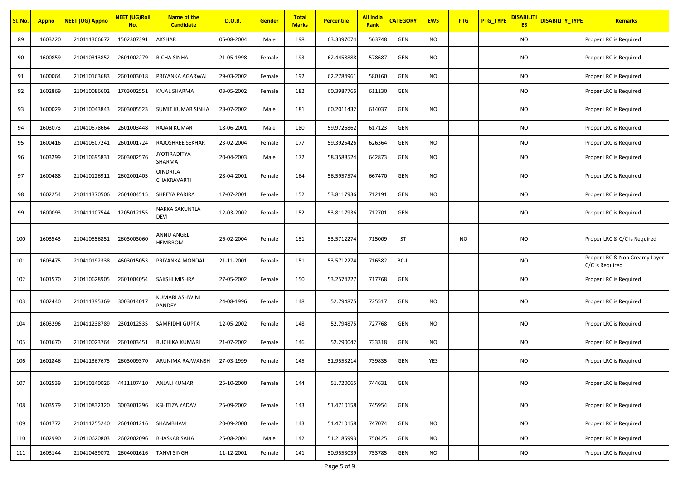| <mark>Sl. No.</mark> | <b>Appno</b> | <b>NEET (UG) Appno</b> | <b>NEET</b> (UG)Roll<br>No. | <b>Name of the</b><br><b>Candidate</b> | D.O.B.     | <b>Gender</b> | <b>Total</b><br><b>Marks</b> | <b>Percentile</b> | <b>All India</b><br>Rank | <b>CATEGORY</b> | <b>EWS</b> | <b>PTG</b> | <b>PTG_TYPE</b> | <b>DISABILIT</b><br><b>ES</b> | <b>DISABILITY TYPE</b> | <b>Remarks</b>                                   |
|----------------------|--------------|------------------------|-----------------------------|----------------------------------------|------------|---------------|------------------------------|-------------------|--------------------------|-----------------|------------|------------|-----------------|-------------------------------|------------------------|--------------------------------------------------|
| 89                   | 1603220      | 210411306672           | 1502307391                  | AKSHAR                                 | 05-08-2004 | Male          | 198                          | 63.3397074        | 563748                   | <b>GEN</b>      | NO         |            |                 | NO.                           |                        | Proper LRC is Required                           |
| 90                   | 1600859      | 210410313852           | 2601002279                  | RICHA SINHA                            | 21-05-1998 | Female        | 193                          | 62.4458888        | 578687                   | GEN             | <b>NO</b>  |            |                 | NO.                           |                        | Proper LRC is Required                           |
| 91                   | 1600064      | 210410163683           | 2601003018                  | PRIYANKA AGARWAL                       | 29-03-2002 | Female        | 192                          | 62.2784961        | 580160                   | GEN             | NO.        |            |                 | NO.                           |                        | Proper LRC is Required                           |
| 92                   | 1602869      | 210410086602           | 1703002551                  | KAJAL SHARMA                           | 03-05-2002 | Female        | 182                          | 60.3987766        | 611130                   | <b>GEN</b>      |            |            |                 | NO.                           |                        | Proper LRC is Required                           |
| 93                   | 1600029      | 210410043843           | 2603005523                  | SUMIT KUMAR SINHA                      | 28-07-2002 | Male          | 181                          | 60.2011432        | 614037                   | GEN             | <b>NO</b>  |            |                 | NO.                           |                        | Proper LRC is Required                           |
| 94                   | 1603073      | 210410578664           | 2601003448                  | RAJAN KUMAR                            | 18-06-2001 | Male          | 180                          | 59.9726862        | 617123                   | GEN             |            |            |                 | NO.                           |                        | Proper LRC is Required                           |
| 95                   | 1600416      | 210410507241           | 2601001724                  | RAJOSHREE SEKHAR                       | 23-02-2004 | Female        | 177                          | 59.3925426        | 626364                   | <b>GEN</b>      | NO         |            |                 | NO.                           |                        | Proper LRC is Required                           |
| 96                   | 1603299      | 210410695831           | 2603002576                  | YOTIRADITYA<br>SHARMA                  | 20-04-2003 | Male          | 172                          | 58.3588524        | 642873                   | <b>GEN</b>      | NO         |            |                 | NO.                           |                        | Proper LRC is Required                           |
| 97                   | 1600488      | 210410126911           | 2602001405                  | <b>DINDRILA</b><br>CHAKRAVARTI         | 28-04-2001 | Female        | 164                          | 56.5957574        | 667470                   | GEN             | <b>NO</b>  |            |                 | NO.                           |                        | Proper LRC is Required                           |
| 98                   | 1602254      | 210411370506           | 2601004515                  | <b>SHREYA PARIRA</b>                   | 17-07-2001 | Female        | 152                          | 53.8117936        | 712191                   | <b>GEN</b>      | <b>NO</b>  |            |                 | NO.                           |                        | Proper LRC is Required                           |
| 99                   | 1600093      | 210411107544           | 1205012155                  | NAKKA SAKUNTLA<br>DEVI                 | 12-03-2002 | Female        | 152                          | 53.8117936        | 712701                   | <b>GEN</b>      |            |            |                 | NO.                           |                        | Proper LRC is Required                           |
| 100                  | 1603543      | 210410556851           | 2603003060                  | ANNU ANGEL<br><b>HEMBROM</b>           | 26-02-2004 | Female        | 151                          | 53.5712274        | 715009                   | <b>ST</b>       |            | <b>NO</b>  |                 | NO.                           |                        | Proper LRC & C/C is Required                     |
| 101                  | 1603475      | 210410192338           | 4603015053                  | PRIYANKA MONDAL                        | 21-11-2001 | Female        | 151                          | 53.5712274        | 716582                   | BC-II           |            |            |                 | NO.                           |                        | Proper LRC & Non Creamy Layer<br>C/C is Required |
| 102                  | 1601570      | 210410628905           | 2601004054                  | SAKSHI MISHRA                          | 27-05-2002 | Female        | 150                          | 53.2574227        | 717768                   | GEN             |            |            |                 | NO                            |                        | Proper LRC is Required                           |
| 103                  | 1602440      | 210411395369           | 3003014017                  | KUMARI ASHWINI<br>PANDEY               | 24-08-1996 | Female        | 148                          | 52.794875         | 725517                   | <b>GEN</b>      | <b>NO</b>  |            |                 | NO.                           |                        | Proper LRC is Required                           |
| 104                  | 1603296      | 210411238789           | 2301012535                  | <b>SAMRIDHI GUPTA</b>                  | 12-05-2002 | Female        | 148                          | 52.794875         | 727768                   | <b>GEN</b>      | <b>NO</b>  |            |                 | NO.                           |                        | Proper LRC is Required                           |
| 105                  | 1601670      | 210410023764           | 2601003451                  | RUCHIKA KUMARI                         | 21-07-2002 | Female        | 146                          | 52.290042         | 733318                   | GEN             | NO         |            |                 | NO.                           |                        | Proper LRC is Required                           |
| 106                  | 1601846      | 210411367675           | 2603009370                  | ARUNIMA RAJWANSH                       | 27-03-1999 | Female        | 145                          | 51.9553214        | 739835                   | GEN             | <b>YES</b> |            |                 | NO.                           |                        | Proper LRC is Required                           |
| 107                  | 1602539      | 210410140026           | 4411107410                  | <b>ANJALI KUMARI</b>                   | 25-10-2000 | Female        | 144                          | 51.720065         | 744631                   | GEN             |            |            |                 | <b>NO</b>                     |                        | Proper LRC is Required                           |
| 108                  | 1603579      | 210410832320           | 3003001296                  | KSHITIZA YADAV                         | 25-09-2002 | Female        | 143                          | 51.4710158        | 745954                   | GEN             |            |            |                 | NO.                           |                        | Proper LRC is Required                           |
| 109                  | 1601772      | 210411255240           | 2601001216                  | SHAMBHAVI                              | 20-09-2000 | Female        | 143                          | 51.4710158        | 747074                   | GEN             | <b>NO</b>  |            |                 | <b>NO</b>                     |                        | Proper LRC is Required                           |
| 110                  | 1602990      | 210410620803           | 2602002096                  | <b>BHASKAR SAHA</b>                    | 25-08-2004 | Male          | 142                          | 51.2185993        | 750425                   | <b>GEN</b>      | NO         |            |                 | NO.                           |                        | Proper LRC is Required                           |
| 111                  | 1603144      | 210410439072           | 2604001616                  | <b>TANVI SINGH</b>                     | 11-12-2001 | Female        | 141                          | 50.9553039        | 753785                   | GEN             | <b>NO</b>  |            |                 | NO                            |                        | Proper LRC is Required                           |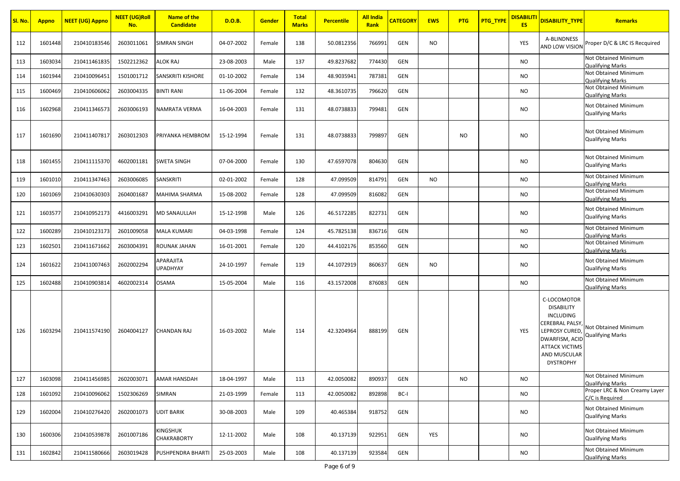| Sl. No. | <b>Appno</b> | <b>NEET (UG) Appno</b> | <b>NEET (UG)Roll</b><br>No. | Name of the<br><b>Candidate</b> | D.O.B.     | <b>Gender</b> | <b>Total</b><br><b>Marks</b> | <b>Percentile</b> | <b>All India</b><br>Rank | <b>CATEGORY</b> | <b>EWS</b> | <b>PTG</b> | <b>PTG_TYPE</b> | <mark>DISABILITI</mark><br><b>ES</b> | <b>DISABILITY_TYPE</b>                                                                                                                                                               | <b>Remarks</b>                                         |
|---------|--------------|------------------------|-----------------------------|---------------------------------|------------|---------------|------------------------------|-------------------|--------------------------|-----------------|------------|------------|-----------------|--------------------------------------|--------------------------------------------------------------------------------------------------------------------------------------------------------------------------------------|--------------------------------------------------------|
| 112     | 1601448      | 210410183546           | 2603011061                  | <b>SIMRAN SINGH</b>             | 04-07-2002 | Female        | 138                          | 50.0812356        | 766991                   | <b>GEN</b>      | <b>NO</b>  |            |                 | YES                                  | A-BLINDNESS<br><b>AND LOW VISION</b>                                                                                                                                                 | Proper D/C & LRC IS Recquired                          |
| 113     | 1603034      | 210411461835           | 1502212362                  | ALOK RAJ                        | 23-08-2003 | Male          | 137                          | 49.8237682        | 774430                   | GEN             |            |            |                 | <b>NO</b>                            |                                                                                                                                                                                      | Not Obtained Minimum<br><b>Qualifying Marks</b>        |
| 114     | 1601944      | 210410096451           | 1501001712                  | SANSKRITI KISHORE               | 01-10-2002 | Female        | 134                          | 48.9035941        | 787381                   | GEN             |            |            |                 | <b>NO</b>                            |                                                                                                                                                                                      | Not Obtained Minimum<br><b>Qualifying Marks</b>        |
| 115     | 1600469      | 210410606062           | 2603004335                  | <b>BINTI RANI</b>               | 11-06-2004 | Female        | 132                          | 48.3610735        | 796620                   | GEN             |            |            |                 | <b>NO</b>                            |                                                                                                                                                                                      | Not Obtained Minimum<br><b>Qualifying Marks</b>        |
| 116     | 1602968      | 210411346573           | 2603006193                  | NAMRATA VERMA                   | 16-04-2003 | Female        | 131                          | 48.0738833        | 799481                   | GEN             |            |            |                 | <b>NO</b>                            |                                                                                                                                                                                      | Not Obtained Minimum<br><b>Qualifying Marks</b>        |
| 117     | 1601690      | 210411407817           | 2603012303                  | PRIYANKA HEMBROM                | 15-12-1994 | Female        | 131                          | 48.0738833        | 799897                   | GEN             |            | NO.        |                 | <b>NO</b>                            |                                                                                                                                                                                      | Not Obtained Minimum<br><b>Qualifying Marks</b>        |
| 118     | 1601455      | 210411115370           | 4602001181                  | <b>SWETA SINGH</b>              | 07-04-2000 | Female        | 130                          | 47.6597078        | 804630                   | GEN             |            |            |                 | <b>NO</b>                            |                                                                                                                                                                                      | Not Obtained Minimum<br><b>Qualifying Marks</b>        |
| 119     | 1601010      | 210411347463           | 2603006085                  | SANSKRITI                       | 02-01-2002 | Female        | 128                          | 47.099509         | 814791                   | <b>GEN</b>      | <b>NO</b>  |            |                 | <b>NO</b>                            |                                                                                                                                                                                      | <b>Not Obtained Minimum</b><br><b>Qualifying Marks</b> |
| 120     | 1601069      | 210410630303           | 2604001687                  | MAHIMA SHARMA                   | 15-08-2002 | Female        | 128                          | 47.099509         | 816082                   | <b>GEN</b>      |            |            |                 | NO.                                  |                                                                                                                                                                                      | Not Obtained Minimum<br><b>Qualifying Marks</b>        |
| 121     | 1603577      | 210410952173           | 4416003291                  | <b>MD SANAULLAH</b>             | 15-12-1998 | Male          | 126                          | 46.5172285        | 822731                   | GEN             |            |            |                 | <b>NO</b>                            |                                                                                                                                                                                      | Not Obtained Minimum<br><b>Qualifying Marks</b>        |
| 122     | 1600289      | 210410123173           | 2601009058                  | <b>MALA KUMARI</b>              | 04-03-1998 | Female        | 124                          | 45.7825138        | 836716                   | GEN             |            |            |                 | <b>NO</b>                            |                                                                                                                                                                                      | Not Obtained Minimum<br><b>Qualifying Marks</b>        |
| 123     | 1602501      | 210411671662           | 2603004391                  | ROUNAK JAHAN                    | 16-01-2001 | Female        | 120                          | 44.4102176        | 853560                   | GEN             |            |            |                 | <b>NO</b>                            |                                                                                                                                                                                      | Not Obtained Minimum<br><b>Qualifying Marks</b>        |
| 124     | 1601622      | 210411007463           | 2602002294                  | APARAJITA<br><b>UPADHYAY</b>    | 24-10-1997 | Female        | 119                          | 44.1072919        | 860637                   | <b>GEN</b>      | <b>NO</b>  |            |                 | <b>NO</b>                            |                                                                                                                                                                                      | Not Obtained Minimum<br><b>Qualifying Marks</b>        |
| 125     | 1602488      | 210410903814           | 4602002314                  | <b>OSAMA</b>                    | 15-05-2004 | Male          | 116                          | 43.1572008        | 876083                   | <b>GEN</b>      |            |            |                 | <b>NO</b>                            |                                                                                                                                                                                      | Not Obtained Minimum<br><b>Qualifying Marks</b>        |
| 126     | 1603294      | 210411574190           | 2604004127                  | <b>CHANDAN RAJ</b>              | 16-03-2002 | Male          | 114                          | 42.3204964        | 888199                   | <b>GEN</b>      |            |            |                 | <b>YES</b>                           | C-LOCOMOTOR<br><b>DISABILITY</b><br><b>INCLUDING</b><br><b>CEREBRAL PALSY</b><br><b>LEPROSY CURED</b><br>DWARFISM, ACID<br><b>ATTACK VICTIMS</b><br>AND MUSCULAR<br><b>DYSTROPHY</b> | Not Obtained Minimum<br><b>Qualifying Marks</b>        |
| 127     | 1603098      | 210411456985           | 2602003071                  | <b>AMAR HANSDAH</b>             | 18-04-1997 | Male          | 113                          | 42.0050082        | 890937                   | GEN             |            | <b>NO</b>  |                 | <b>NO</b>                            |                                                                                                                                                                                      | Not Obtained Minimum<br><b>Qualifying Marks</b>        |
| 128     | 1601092      | 210410096062           | 1502306269                  | SIMRAN                          | 21-03-1999 | Female        | 113                          | 42.0050082        | 892898                   | BC-I            |            |            |                 | <b>NO</b>                            |                                                                                                                                                                                      | Proper LRC & Non Creamy Layer<br>C/C is Required       |
| 129     | 1602004      | 210410276420           | 2602001073                  | <b>UDIT BARIK</b>               | 30-08-2003 | Male          | 109                          | 40.465384         | 918752                   | GEN             |            |            |                 | <b>NO</b>                            |                                                                                                                                                                                      | Not Obtained Minimum<br><b>Qualifying Marks</b>        |
| 130     | 1600306      | 210410539878           | 2601007186                  | KINGSHUK<br><b>CHAKRABORTY</b>  | 12-11-2002 | Male          | 108                          | 40.137139         | 922951                   | GEN             | YES        |            |                 | <b>NO</b>                            |                                                                                                                                                                                      | Not Obtained Minimum<br><b>Qualifying Marks</b>        |
| 131     | 1602842      | 210411580666           | 2603019428                  | <b>PUSHPENDRA BHARTI</b>        | 25-03-2003 | Male          | 108                          | 40.137139         | 923584                   | GEN             |            |            |                 | <b>NO</b>                            |                                                                                                                                                                                      | Not Obtained Minimum<br><b>Qualifying Marks</b>        |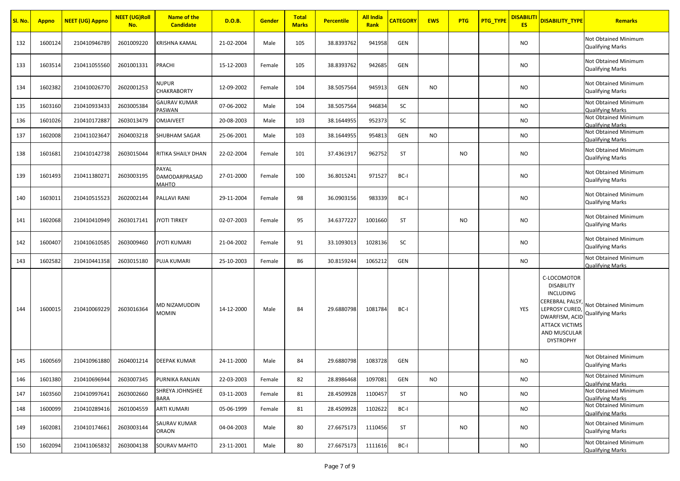| Sl. No. | <b>Appno</b> | <b>NEET (UG) Appno</b> | <b>NEET (UG)Roll</b><br>No. | <b>Name of the</b><br><b>Candidate</b> | <b>D.O.B.</b> | Gender | <b>Total</b><br><b>Marks</b> | <b>Percentile</b> | <b>All India</b><br>Rank | <b>CATEGORY</b> | <b>EWS</b> | <b>PTG</b> | PTG_TYPE | <b>DISABILIT</b><br><b>ES</b> | DISABILITY_TYPE                                                                                                                                                         | <b>Remarks</b>                                  |
|---------|--------------|------------------------|-----------------------------|----------------------------------------|---------------|--------|------------------------------|-------------------|--------------------------|-----------------|------------|------------|----------|-------------------------------|-------------------------------------------------------------------------------------------------------------------------------------------------------------------------|-------------------------------------------------|
| 132     | 1600124      | 210410946789           | 2601009220                  | KRISHNA KAMAL                          | 21-02-2004    | Male   | 105                          | 38.8393762        | 941958                   | GEN             |            |            |          | NO                            |                                                                                                                                                                         | Not Obtained Minimum<br><b>Qualifying Marks</b> |
| 133     | 1603514      | 210411055560           | 2601001331                  | PRACHI                                 | 15-12-2003    | Female | 105                          | 38.8393762        | 942685                   | GEN             |            |            |          | NO.                           |                                                                                                                                                                         | Not Obtained Minimum<br><b>Qualifying Marks</b> |
| 134     | 1602382      | 210410026770           | 2602001253                  | NUPUR<br><b>CHAKRABORTY</b>            | 12-09-2002    | Female | 104                          | 38.5057564        | 945913                   | GEN             | <b>NO</b>  |            |          | <b>NO</b>                     |                                                                                                                                                                         | Not Obtained Minimum<br><b>Qualifying Marks</b> |
| 135     | 1603160      | 210410933433           | 2603005384                  | <b>GAURAV KUMAR</b><br>PASWAN          | 07-06-2002    | Male   | 104                          | 38.5057564        | 946834                   | SC              |            |            |          | <b>NO</b>                     |                                                                                                                                                                         | Not Obtained Minimum<br><b>Qualifying Marks</b> |
| 136     | 1601026      | 210410172887           | 2603013479                  | <b>OMJAIVEET</b>                       | 20-08-2003    | Male   | 103                          | 38.1644955        | 952373                   | SC              |            |            |          | NO.                           |                                                                                                                                                                         | Not Obtained Minimum<br><b>Qualifying Marks</b> |
| 137     | 1602008      | 210411023647           | 2604003218                  | SHUBHAM SAGAR                          | 25-06-2001    | Male   | 103                          | 38.1644955        | 954813                   | GEN             | NO.        |            |          | NO.                           |                                                                                                                                                                         | Not Obtained Minimum<br><b>Qualifying Marks</b> |
| 138     | 1601681      | 210410142738           | 2603015044                  | RITIKA SHAILY DHAN                     | 22-02-2004    | Female | 101                          | 37.4361917        | 962752                   | ST              |            | <b>NO</b>  |          | <b>NO</b>                     |                                                                                                                                                                         | Not Obtained Minimum<br><b>Qualifying Marks</b> |
| 139     | 1601493      | 210411380271           | 2603003195                  | PAYAL<br>DAMODARPRASAD<br><b>MAHTO</b> | 27-01-2000    | Female | 100                          | 36.8015241        | 971527                   | BC-I            |            |            |          | <b>NO</b>                     |                                                                                                                                                                         | Not Obtained Minimum<br><b>Qualifying Marks</b> |
| 140     | 1603011      | 210410515523           | 2602002144                  | PALLAVI RANI                           | 29-11-2004    | Female | 98                           | 36.0903156        | 983339                   | BC-I            |            |            |          | NO.                           |                                                                                                                                                                         | Not Obtained Minimum<br><b>Qualifying Marks</b> |
| 141     | 1602068      | 210410410949           | 2603017141                  | <b>JYOTI TIRKEY</b>                    | 02-07-2003    | Female | 95                           | 34.6377227        | 1001660                  | <b>ST</b>       |            | <b>NO</b>  |          | NO.                           |                                                                                                                                                                         | Not Obtained Minimum<br><b>Qualifying Marks</b> |
| 142     | 1600407      | 210410610585           | 2603009460                  | <b>JYOTI KUMARI</b>                    | 21-04-2002    | Female | 91                           | 33.1093013        | 1028136                  | SC              |            |            |          | NO.                           |                                                                                                                                                                         | Not Obtained Minimum<br><b>Qualifying Marks</b> |
| 143     | 1602582      | 210410441358           | 2603015180                  | PUJA KUMARI                            | 25-10-2003    | Female | 86                           | 30.8159244        | 1065212                  | GEN             |            |            |          | <b>NO</b>                     |                                                                                                                                                                         | Not Obtained Minimum<br><b>Qualifying Marks</b> |
| 144     | 1600015      | 210410069229           | 2603016364                  | MD NIZAMUDDIN<br>MOMIN                 | 14-12-2000    | Male   | 84                           | 29.6880798        | 1081784                  | BC-I            |            |            |          | YES                           | C-LOCOMOTOR<br><b>DISABILITY</b><br>INCLUDING<br><b>CEREBRAL PALSY</b><br>LEPROSY CURED,<br>DWARFISM, ACID<br><b>ATTACK VICTIMS</b><br>AND MUSCULAR<br><b>DYSTROPHY</b> | Not Obtained Minimum<br><b>Qualifying Marks</b> |
| 145     | 1600569      | 210410961880           | 2604001214                  | DEEPAK KUMAR                           | 24-11-2000    | Male   | 84                           | 29.6880798        | 1083728                  | GEN             |            |            |          | <b>NO</b>                     |                                                                                                                                                                         | Not Obtained Minimum<br><b>Qualifying Marks</b> |
| 146     | 1601380      | 210410696944           | 2603007345                  | PURNIKA RANJAN                         | 22-03-2003    | Female | 82                           | 28.8986468        | 1097081                  | GEN             | <b>NO</b>  |            |          | <b>NO</b>                     |                                                                                                                                                                         | Not Obtained Minimum<br><b>Qualifying Marks</b> |
| 147     | 1603560      | 210410997641           | 2603002660                  | SHREYA JOHNSHEE<br>BARA                | 03-11-2003    | Female | 81                           | 28.4509928        | 1100457                  | ST              |            | <b>NO</b>  |          | <b>NO</b>                     |                                                                                                                                                                         | Not Obtained Minimum<br><b>Qualifying Marks</b> |
| 148     | 1600099      | 210410289416           | 2601004559                  | ARTI KUMARI                            | 05-06-1999    | Female | 81                           | 28.4509928        | 1102622                  | BC-I            |            |            |          | <b>NO</b>                     |                                                                                                                                                                         | Not Obtained Minimum<br><b>Qualifying Marks</b> |
| 149     | 1602081      | 210410174661           | 2603003144                  | SAURAV KUMAR<br>ORAON                  | 04-04-2003    | Male   | 80                           | 27.6675173        | 1110456                  | ST              |            | <b>NO</b>  |          | NO.                           |                                                                                                                                                                         | Not Obtained Minimum<br><b>Qualifying Marks</b> |
| 150     | 1602094      | 210411065832           | 2603004138                  | <b>SOURAV MAHTO</b>                    | 23-11-2001    | Male   | 80                           | 27.6675173        | 1111616                  | BC-I            |            |            |          | <b>NO</b>                     |                                                                                                                                                                         | Not Obtained Minimum<br><b>Qualifying Marks</b> |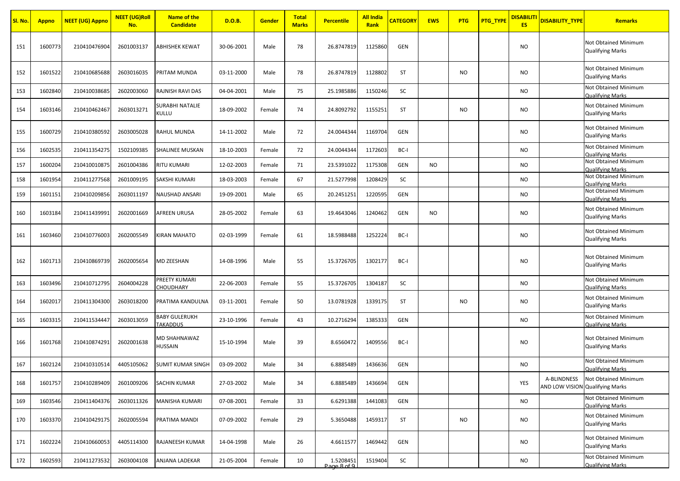| <mark>Sl. No.</mark> | <b>Appno</b> | <mark>NEET (UG) Appno</mark> | <b>NEET (UG)Roll</b><br>No. | Name of the<br><b>Candidate</b>         | D.O.B.     | <b>Gender</b> | <b>Total</b><br><b>Marks</b> | <b>Percentile</b>        | <b>All India</b><br>Rank | <b>CATEGORY</b> | <b>EWS</b> | <b>PTG</b> | <u>PTG_TYPE</u> | <b>DISABILITI</b><br><b>ES</b> | <b>DISABILITY TYPE</b>                         | <b>Remarks</b>                                  |
|----------------------|--------------|------------------------------|-----------------------------|-----------------------------------------|------------|---------------|------------------------------|--------------------------|--------------------------|-----------------|------------|------------|-----------------|--------------------------------|------------------------------------------------|-------------------------------------------------|
| 151                  | 1600773      | 210410476904                 | 2601003137                  | <b>ABHISHEK KEWAT</b>                   | 30-06-2001 | Male          | 78                           | 26.8747819               | 1125860                  | <b>GEN</b>      |            |            |                 | NO.                            |                                                | Not Obtained Minimum<br><b>Qualifying Marks</b> |
| 152                  | 1601522      | 210410685688                 | 2603016035                  | PRITAM MUNDA                            | 03-11-2000 | Male          | 78                           | 26.8747819               | 1128802                  | <b>ST</b>       |            | <b>NO</b>  |                 | <b>NO</b>                      |                                                | Not Obtained Minimum<br><b>Qualifying Marks</b> |
| 153                  | 1602840      | 210410038685                 | 2602003060                  | RAJNISH RAVI DAS                        | 04-04-2001 | Male          | 75                           | 25.1985886               | 1150246                  | SC              |            |            |                 | NO.                            |                                                | Not Obtained Minimum<br><b>Qualifving Marks</b> |
| 154                  | 1603146      | 210410462467                 | 2603013271                  | <b>SURABHI NATALIE</b><br>Kullu         | 18-09-2002 | Female        | 74                           | 24.8092792               | 1155251                  | <b>ST</b>       |            | <b>NO</b>  |                 | NO.                            |                                                | Not Obtained Minimum<br><b>Qualifying Marks</b> |
| 155                  | 1600729      | 210410380592                 | 2603005028                  | RAHUL MUNDA                             | 14-11-2002 | Male          | 72                           | 24.0044344               | 1169704                  | GEN             |            |            |                 | NO.                            |                                                | Not Obtained Minimum<br><b>Qualifying Marks</b> |
| 156                  | 1602535      | 210411354275                 | 1502109385                  | <b>SHALINEE MUSKAN</b>                  | 18-10-2003 | Female        | 72                           | 24.0044344               | 1172603                  | BC-I            |            |            |                 | NO.                            |                                                | Not Obtained Minimum<br><b>Qualifying Marks</b> |
| 157                  | 1600204      | 210410010875                 | 2601004386                  | <b>RITU KUMARI</b>                      | 12-02-2003 | Female        | 71                           | 23.5391022               | 1175308                  | GEN             | <b>NO</b>  |            |                 | <b>NO</b>                      |                                                | Not Obtained Minimum<br><b>Qualifying Marks</b> |
| 158                  | 1601954      | 210411277568                 | 2601009195                  | <b>SAKSHI KUMARI</b>                    | 18-03-2003 | Female        | 67                           | 21.5277998               | 1208429                  | SC              |            |            |                 | NO.                            |                                                | Not Obtained Minimum<br><b>Qualifying Marks</b> |
| 159                  | 1601151      | 210410209856                 | 2603011197                  | NAUSHAD ANSARI                          | 19-09-2001 | Male          | 65                           | 20.2451251               | 1220595                  | GEN             |            |            |                 | NO.                            |                                                | Not Obtained Minimum<br><b>Qualifying Marks</b> |
| 160                  | 1603184      | 210411439991                 | 2602001669                  | AFREEN URUSA                            | 28-05-2002 | Female        | 63                           | 19.4643046               | 1240462                  | GEN             | <b>NO</b>  |            |                 | NO.                            |                                                | Not Obtained Minimum<br><b>Qualifying Marks</b> |
| 161                  | 1603460      | 210410776003                 | 2602005549                  | <b>KIRAN MAHATO</b>                     | 02-03-1999 | Female        | 61                           | 18.5988488               | 1252224                  | BC-I            |            |            |                 | NO.                            |                                                | Not Obtained Minimum<br><b>Qualifying Marks</b> |
| 162                  | 1601713      | 210410869739                 | 2602005654                  | MD ZEESHAN                              | 14-08-1996 | Male          | 55                           | 15.3726705               | 1302177                  | BC-I            |            |            |                 | NO.                            |                                                | Not Obtained Minimum<br><b>Qualifying Marks</b> |
| 163                  | 1603496      | 210410712795                 | 2604004228                  | PREETY KUMARI<br>CHOUDHARY              | 22-06-2003 | Female        | 55                           | 15.3726705               | 1304187                  | SC              |            |            |                 | NO.                            |                                                | Not Obtained Minimum<br><b>Qualifying Marks</b> |
| 164                  | 1602017      | 210411304300                 | 2603018200                  | PRATIMA KANDULNA                        | 03-11-2001 | Female        | 50                           | 13.0781928               | 1339175                  | <b>ST</b>       |            | <b>NO</b>  |                 | <b>NO</b>                      |                                                | Not Obtained Minimum<br><b>Qualifying Marks</b> |
| 165                  | 1603315      | 210411534447                 | 2603013059                  | <b>BABY GULERUKH</b><br><b>TAKADDUS</b> | 23-10-1996 | Female        | 43                           | 10.2716294               | 1385333                  | GEN             |            |            |                 | NO.                            |                                                | Not Obtained Minimum<br><b>Qualifying Marks</b> |
| 166                  | 1601768      | 210410874291                 | 2602001638                  | MD SHAHNAWAZ<br><b>HUSSAIN</b>          | 15-10-1994 | Male          | 39                           | 8.6560472                | 1409556                  | BC-I            |            |            |                 | NO.                            |                                                | Not Obtained Minimum<br><b>Qualifying Marks</b> |
| 167                  | 1602124      | 210410310514                 | 4405105062                  | <b>SUMIT KUMAR SINGH</b>                | 03-09-2002 | Male          | 34                           | 6.8885489                | 1436636                  | GEN             |            |            |                 | NO.                            |                                                | Not Obtained Minimum<br><b>Qualifying Marks</b> |
| 168                  | 1601757      | 210410289409                 | 2601009206                  | <b>SACHIN KUMAR</b>                     | 27-03-2002 | Male          | 34                           | 6.8885489                | 1436694                  | GEN             |            |            |                 | YES                            | A-BLINDNESS<br>AND LOW VISION Qualifying Marks | Not Obtained Minimum                            |
| 169                  | 1603546      | 210411404376                 | 2603011326                  | MANISHA KUMARI                          | 07-08-2001 | Female        | 33                           | 6.6291388                | 1441083                  | <b>GEN</b>      |            |            |                 | <b>NO</b>                      |                                                | Not Obtained Minimum<br><b>Qualifying Marks</b> |
| 170                  | 1603370      | 210410429175                 | 2602005594                  | PRATIMA MANDI                           | 07-09-2002 | Female        | 29                           | 5.3650488                | 1459317                  | ST              |            | <b>NO</b>  |                 | NO.                            |                                                | Not Obtained Minimum<br><b>Qualifying Marks</b> |
| 171                  | 1602224      | 210410660053                 | 4405114300                  | <b>RAJANEESH KUMAR</b>                  | 14-04-1998 | Male          | 26                           | 4.6611577                | 1469442                  | GEN             |            |            |                 | NO.                            |                                                | Not Obtained Minimum<br><b>Qualifying Marks</b> |
| 172                  | 1602593      | 210411273532                 | 2603004108                  | ANJANA LADEKAR                          | 21-05-2004 | Female        | 10                           | 1.5208451<br>Page 8 of 9 | 1519404                  | SC              |            |            |                 | <b>NO</b>                      |                                                | Not Obtained Minimum<br><b>Qualifying Marks</b> |